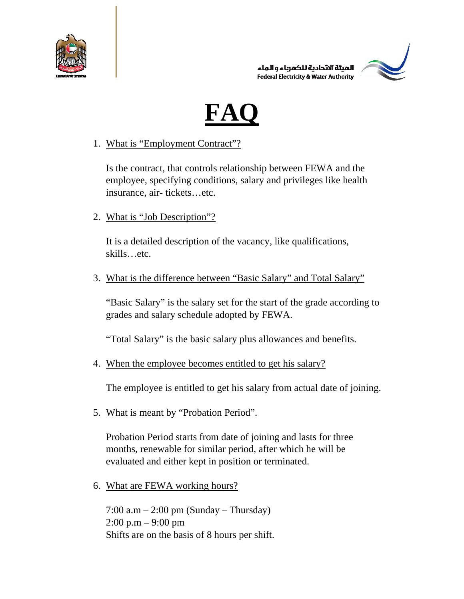





1. What is "Employment Contract"?

Is the contract, that controls relationship between FEWA and the employee, specifying conditions, salary and privileges like health insurance, air- tickets…etc.

2. What is "Job Description"?

It is a detailed description of the vacancy, like qualifications, skills…etc.

3. What is the difference between "Basic Salary" and Total Salary"

"Basic Salary" is the salary set for the start of the grade according to grades and salary schedule adopted by FEWA.

"Total Salary" is the basic salary plus allowances and benefits.

4. When the employee becomes entitled to get his salary?

The employee is entitled to get his salary from actual date of joining.

5. What is meant by "Probation Period".

Probation Period starts from date of joining and lasts for three months, renewable for similar period, after which he will be evaluated and either kept in position or terminated.

6. What are FEWA working hours?

 $7:00$  a.m  $-2:00$  pm (Sunday – Thursday)  $2:00 \text{ p.m} - 9:00 \text{ pm}$ Shifts are on the basis of 8 hours per shift.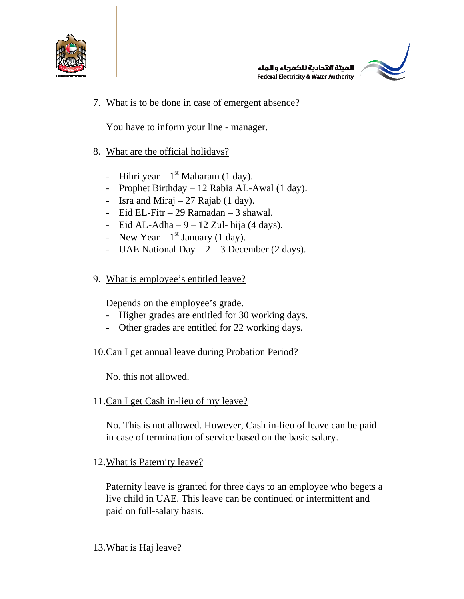

الهيئة الاتحادية للكهرباء والماء **Federal Electricity & Water Authority** 



7. What is to be done in case of emergent absence?

You have to inform your line - manager.

- 8. What are the official holidays?
	- Hihri year  $1<sup>st</sup>$  Maharam (1 day).
	- Prophet Birthday 12 Rabia AL-Awal (1 day).
	- Isra and Miraj  $-27$  Rajab (1 day).
	- Eid EL-Fitr 29 Ramadan 3 shawal.
	- Eid AL-Adha  $9 12$  Zul- hija (4 days).
	- New Year  $1<sup>st</sup>$  January (1 day).
	- UAE National Day  $-2 3$  December (2 days).
- 9. What is employee's entitled leave?

Depends on the employee's grade.

- Higher grades are entitled for 30 working days.
- Other grades are entitled for 22 working days.
- 10.Can I get annual leave during Probation Period?

No. this not allowed.

11.Can I get Cash in-lieu of my leave?

No. This is not allowed. However, Cash in-lieu of leave can be paid in case of termination of service based on the basic salary.

### 12.What is Paternity leave?

Paternity leave is granted for three days to an employee who begets a live child in UAE. This leave can be continued or intermittent and paid on full-salary basis.

### 13.What is Haj leave?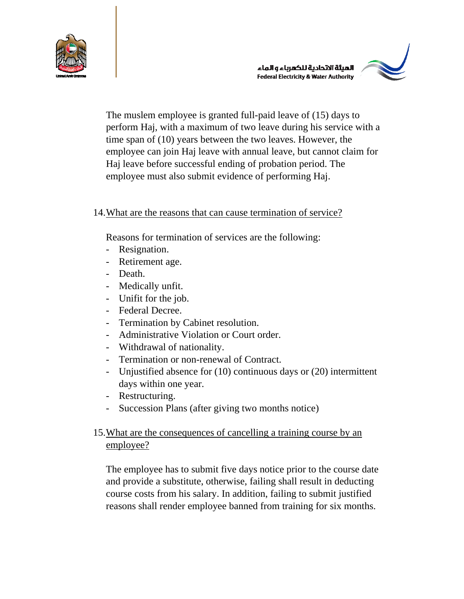

الهبثة الاتحادية للكهرباء والماء **Federal Electricity & Water Authority** 



The muslem employee is granted full-paid leave of (15) days to perform Haj, with a maximum of two leave during his service with a time span of (10) years between the two leaves. However, the employee can join Haj leave with annual leave, but cannot claim for Haj leave before successful ending of probation period. The employee must also submit evidence of performing Haj.

### 14.What are the reasons that can cause termination of service?

Reasons for termination of services are the following:

- Resignation.
- Retirement age.
- Death.
- Medically unfit.
- Unifit for the job.
- Federal Decree.
- Termination by Cabinet resolution.
- Administrative Violation or Court order.
- Withdrawal of nationality.
- Termination or non-renewal of Contract.
- Unjustified absence for (10) continuous days or (20) intermittent days within one year.
- Restructuring.
- Succession Plans (after giving two months notice)

## 15.What are the consequences of cancelling a training course by an employee?

The employee has to submit five days notice prior to the course date and provide a substitute, otherwise, failing shall result in deducting course costs from his salary. In addition, failing to submit justified reasons shall render employee banned from training for six months.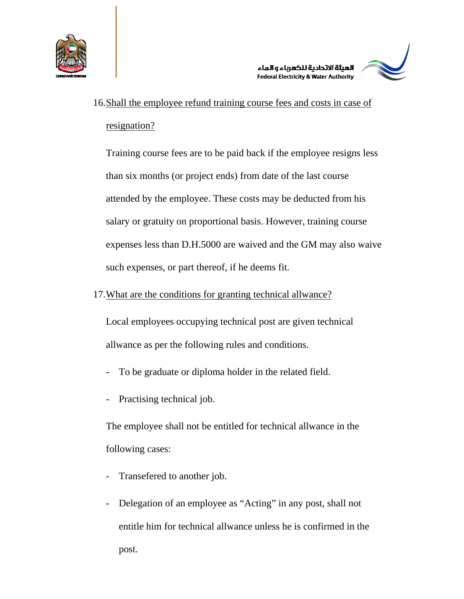



# 16.Shall the employee refund training course fees and costs in case of resignation?

Training course fees are to be paid back if the employee resigns less than six months (or project ends) from date of the last course attended by the employee. These costs may be deducted from his salary or gratuity on proportional basis. However, training course expenses less than D.H.5000 are waived and the GM may also waive such expenses, or part thereof, if he deems fit.

### 17.What are the conditions for granting technical allwance?

Local employees occupying technical post are given technical allwance as per the following rules and conditions.

- To be graduate or diploma holder in the related field.
- Practising technical job.

The employee shall not be entitled for technical allwance in the following cases:

- Transefered to another job.
- Delegation of an employee as "Acting" in any post, shall not entitle him for technical allwance unless he is confirmed in the post.